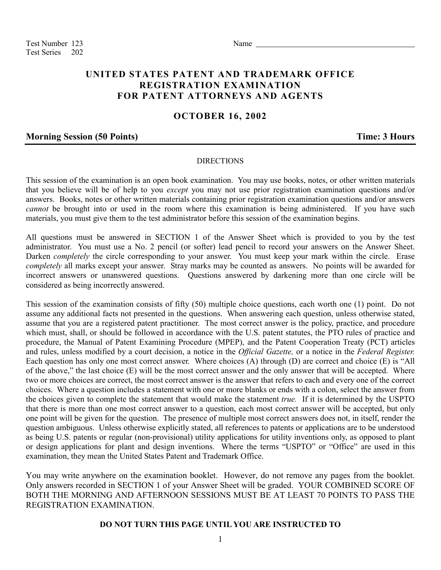Test Number 123 Name Test Series 202

# **UNITED STATES PATENT AND TRADEMARK OFFICE REGISTRATION EXAMINATION FOR PATENT ATTORNEYS AND AGENTS**

# **OCTOBER 16, 2002**

## **Morning Session (50 Points) Time: 3 Hours**

#### DIRECTIONS

This session of the examination is an open book examination. You may use books, notes, or other written materials that you believe will be of help to you *except* you may not use prior registration examination questions and/or answers. Books, notes or other written materials containing prior registration examination questions and/or answers *cannot* be brought into or used in the room where this examination is being administered. If you have such materials, you must give them to the test administrator before this session of the examination begins.

All questions must be answered in SECTION 1 of the Answer Sheet which is provided to you by the test administrator. You must use a No. 2 pencil (or softer) lead pencil to record your answers on the Answer Sheet. Darken *completely* the circle corresponding to your answer. You must keep your mark within the circle. Erase *completely* all marks except your answer. Stray marks may be counted as answers. No points will be awarded for incorrect answers or unanswered questions. Questions answered by darkening more than one circle will be considered as being incorrectly answered.

This session of the examination consists of fifty (50) multiple choice questions, each worth one (1) point. Do not assume any additional facts not presented in the questions. When answering each question, unless otherwise stated, assume that you are a registered patent practitioner. The most correct answer is the policy, practice, and procedure which must, shall, or should be followed in accordance with the U.S. patent statutes, the PTO rules of practice and procedure, the Manual of Patent Examining Procedure (MPEP), and the Patent Cooperation Treaty (PCT) articles and rules, unless modified by a court decision, a notice in the *Official Gazette,* or a notice in the *Federal Register.* Each question has only one most correct answer. Where choices (A) through (D) are correct and choice (E) is "All of the above," the last choice (E) will be the most correct answer and the only answer that will be accepted. Where two or more choices are correct, the most correct answer is the answer that refers to each and every one of the correct choices. Where a question includes a statement with one or more blanks or ends with a colon, select the answer from the choices given to complete the statement that would make the statement *true.* If it is determined by the USPTO that there is more than one most correct answer to a question, each most correct answer will be accepted, but only one point will be given for the question. The presence of multiple most correct answers does not, in itself, render the question ambiguous. Unless otherwise explicitly stated, all references to patents or applications are to be understood as being U.S. patents or regular (non-provisional) utility applications for utility inventions only, as opposed to plant or design applications for plant and design inventions. Where the terms "USPTO" or "Office" are used in this examination, they mean the United States Patent and Trademark Office.

You may write anywhere on the examination booklet. However, do not remove any pages from the booklet. Only answers recorded in SECTION 1 of your Answer Sheet will be graded. YOUR COMBINED SCORE OF BOTH THE MORNING AND AFTERNOON SESSIONS MUST BE AT LEAST 70 POINTS TO PASS THE REGISTRATION EXAMINATION.

### **DO NOT TURN THIS PAGE UNTIL YOU ARE INSTRUCTED TO**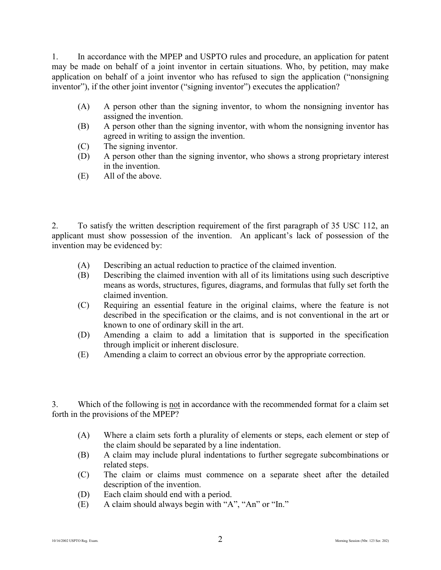1. In accordance with the MPEP and USPTO rules and procedure, an application for patent may be made on behalf of a joint inventor in certain situations. Who, by petition, may make application on behalf of a joint inventor who has refused to sign the application ("nonsigning inventor"), if the other joint inventor ("signing inventor") executes the application?

- (A) A person other than the signing inventor, to whom the nonsigning inventor has assigned the invention.
- (B) A person other than the signing inventor, with whom the nonsigning inventor has agreed in writing to assign the invention.
- (C) The signing inventor.
- (D) A person other than the signing inventor, who shows a strong proprietary interest in the invention.
- (E) All of the above.

2. To satisfy the written description requirement of the first paragraph of 35 USC 112, an applicant must show possession of the invention. An applicant's lack of possession of the invention may be evidenced by:

- (A) Describing an actual reduction to practice of the claimed invention.
- (B) Describing the claimed invention with all of its limitations using such descriptive means as words, structures, figures, diagrams, and formulas that fully set forth the claimed invention.
- (C) Requiring an essential feature in the original claims, where the feature is not described in the specification or the claims, and is not conventional in the art or known to one of ordinary skill in the art.
- (D) Amending a claim to add a limitation that is supported in the specification through implicit or inherent disclosure.
- (E) Amending a claim to correct an obvious error by the appropriate correction.

3. Which of the following is not in accordance with the recommended format for a claim set forth in the provisions of the MPEP?

- (A) Where a claim sets forth a plurality of elements or steps, each element or step of the claim should be separated by a line indentation.
- (B) A claim may include plural indentations to further segregate subcombinations or related steps.
- (C) The claim or claims must commence on a separate sheet after the detailed description of the invention.
- (D) Each claim should end with a period.
- (E) A claim should always begin with "A", "An" or "In."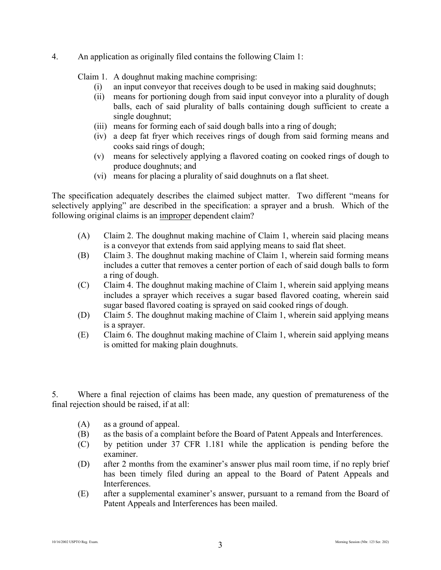### 4. An application as originally filed contains the following Claim 1:

Claim 1. A doughnut making machine comprising:

- (i) an input conveyor that receives dough to be used in making said doughnuts;
- (ii) means for portioning dough from said input conveyor into a plurality of dough balls, each of said plurality of balls containing dough sufficient to create a single doughnut;
- (iii) means for forming each of said dough balls into a ring of dough;
- (iv) a deep fat fryer which receives rings of dough from said forming means and cooks said rings of dough;
- (v) means for selectively applying a flavored coating on cooked rings of dough to produce doughnuts; and
- (vi) means for placing a plurality of said doughnuts on a flat sheet.

The specification adequately describes the claimed subject matter. Two different "means for selectively applying" are described in the specification: a sprayer and a brush. Which of the following original claims is an improper dependent claim?

- (A) Claim 2. The doughnut making machine of Claim 1, wherein said placing means is a conveyor that extends from said applying means to said flat sheet.
- (B) Claim 3. The doughnut making machine of Claim 1, wherein said forming means includes a cutter that removes a center portion of each of said dough balls to form a ring of dough.
- (C) Claim 4. The doughnut making machine of Claim 1, wherein said applying means includes a sprayer which receives a sugar based flavored coating, wherein said sugar based flavored coating is sprayed on said cooked rings of dough.
- (D) Claim 5. The doughnut making machine of Claim 1, wherein said applying means is a sprayer.
- (E) Claim 6. The doughnut making machine of Claim 1, wherein said applying means is omitted for making plain doughnuts.

5. Where a final rejection of claims has been made, any question of prematureness of the final rejection should be raised, if at all:

- (A) as a ground of appeal.
- (B) as the basis of a complaint before the Board of Patent Appeals and Interferences.
- (C) by petition under 37 CFR 1.181 while the application is pending before the examiner.
- (D) after 2 months from the examiner's answer plus mail room time, if no reply brief has been timely filed during an appeal to the Board of Patent Appeals and Interferences.
- (E) after a supplemental examiner's answer, pursuant to a remand from the Board of Patent Appeals and Interferences has been mailed.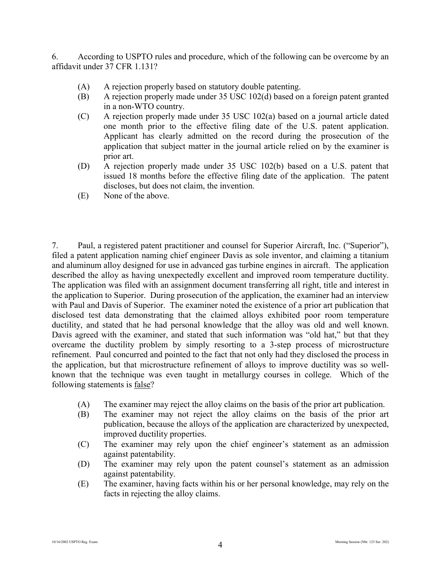6. According to USPTO rules and procedure, which of the following can be overcome by an affidavit under 37 CFR 1.131?

- (A) A rejection properly based on statutory double patenting.
- (B) A rejection properly made under 35 USC 102(d) based on a foreign patent granted in a non-WTO country.
- (C) A rejection properly made under 35 USC 102(a) based on a journal article dated one month prior to the effective filing date of the U.S. patent application. Applicant has clearly admitted on the record during the prosecution of the application that subject matter in the journal article relied on by the examiner is prior art.
- (D) A rejection properly made under 35 USC 102(b) based on a U.S. patent that issued 18 months before the effective filing date of the application. The patent discloses, but does not claim, the invention.
- (E) None of the above.

7. Paul, a registered patent practitioner and counsel for Superior Aircraft, Inc. ("Superior"), filed a patent application naming chief engineer Davis as sole inventor, and claiming a titanium and aluminum alloy designed for use in advanced gas turbine engines in aircraft. The application described the alloy as having unexpectedly excellent and improved room temperature ductility. The application was filed with an assignment document transferring all right, title and interest in the application to Superior. During prosecution of the application, the examiner had an interview with Paul and Davis of Superior. The examiner noted the existence of a prior art publication that disclosed test data demonstrating that the claimed alloys exhibited poor room temperature ductility, and stated that he had personal knowledge that the alloy was old and well known. Davis agreed with the examiner, and stated that such information was "old hat," but that they overcame the ductility problem by simply resorting to a 3-step process of microstructure refinement. Paul concurred and pointed to the fact that not only had they disclosed the process in the application, but that microstructure refinement of alloys to improve ductility was so wellknown that the technique was even taught in metallurgy courses in college. Which of the following statements is false?

- (A) The examiner may reject the alloy claims on the basis of the prior art publication.
- (B) The examiner may not reject the alloy claims on the basis of the prior art publication, because the alloys of the application are characterized by unexpected, improved ductility properties.
- (C) The examiner may rely upon the chief engineer's statement as an admission against patentability.
- (D) The examiner may rely upon the patent counsel's statement as an admission against patentability.
- (E) The examiner, having facts within his or her personal knowledge, may rely on the facts in rejecting the alloy claims.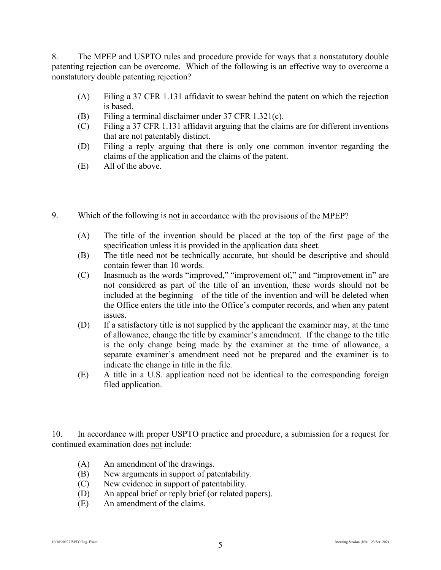8. The MPEP and USPTO rules and procedure provide for ways that a nonstatutory double patenting rejection can be overcome. Which of the following is an effective way to overcome a nonstatutory double patenting rejection?

- (A) Filing a 37 CFR 1.131 affidavit to swear behind the patent on which the rejection is based.
- (B) Filing a terminal disclaimer under 37 CFR 1.321(c).
- (C) Filing a 37 CFR 1.131 affidavit arguing that the claims are for different inventions that are not patentably distinct.
- (D) Filing a reply arguing that there is only one common inventor regarding the claims of the application and the claims of the patent.
- (E) All of the above.
- 9. Which of the following is not in accordance with the provisions of the MPEP?
	- (A) The title of the invention should be placed at the top of the first page of the specification unless it is provided in the application data sheet.
	- (B) The title need not be technically accurate, but should be descriptive and should contain fewer than 10 words.
	- (C) Inasmuch as the words "improved," "improvement of," and "improvement in" are not considered as part of the title of an invention, these words should not be included at the beginning of the title of the invention and will be deleted when the Office enters the title into the Office's computer records, and when any patent issues.
	- (D) If a satisfactory title is not supplied by the applicant the examiner may, at the time of allowance, change the title by examiner's amendment. If the change to the title is the only change being made by the examiner at the time of allowance, a separate examiner's amendment need not be prepared and the examiner is to indicate the change in title in the file.
	- (E) A title in a U.S. application need not be identical to the corresponding foreign filed application.

10. In accordance with proper USPTO practice and procedure, a submission for a request for continued examination does not include:

- (A) An amendment of the drawings.
- (B) New arguments in support of patentability.
- (C) New evidence in support of patentability.
- (D) An appeal brief or reply brief (or related papers).
- (E) An amendment of the claims.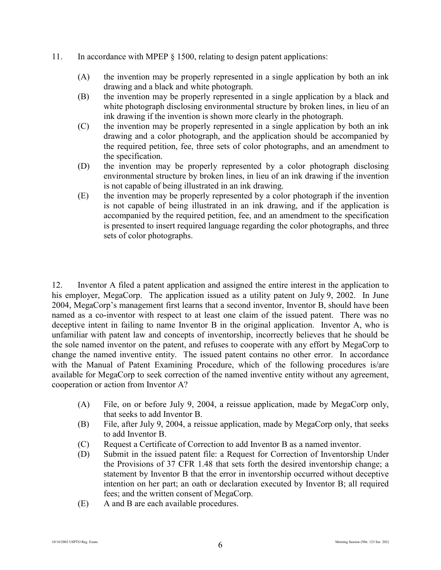- 11. In accordance with MPEP § 1500, relating to design patent applications:
	- (A) the invention may be properly represented in a single application by both an ink drawing and a black and white photograph.
	- (B) the invention may be properly represented in a single application by a black and white photograph disclosing environmental structure by broken lines, in lieu of an ink drawing if the invention is shown more clearly in the photograph.
	- (C) the invention may be properly represented in a single application by both an ink drawing and a color photograph, and the application should be accompanied by the required petition, fee, three sets of color photographs, and an amendment to the specification.
	- (D) the invention may be properly represented by a color photograph disclosing environmental structure by broken lines, in lieu of an ink drawing if the invention is not capable of being illustrated in an ink drawing.
	- (E) the invention may be properly represented by a color photograph if the invention is not capable of being illustrated in an ink drawing, and if the application is accompanied by the required petition, fee, and an amendment to the specification is presented to insert required language regarding the color photographs, and three sets of color photographs.

12. Inventor A filed a patent application and assigned the entire interest in the application to his employer, MegaCorp. The application issued as a utility patent on July 9, 2002. In June 2004, MegaCorp's management first learns that a second inventor, Inventor B, should have been named as a co-inventor with respect to at least one claim of the issued patent. There was no deceptive intent in failing to name Inventor B in the original application. Inventor A, who is unfamiliar with patent law and concepts of inventorship, incorrectly believes that he should be the sole named inventor on the patent, and refuses to cooperate with any effort by MegaCorp to change the named inventive entity. The issued patent contains no other error. In accordance with the Manual of Patent Examining Procedure, which of the following procedures is/are available for MegaCorp to seek correction of the named inventive entity without any agreement, cooperation or action from Inventor A?

- (A) File, on or before July 9, 2004, a reissue application, made by MegaCorp only, that seeks to add Inventor B.
- (B) File, after July 9, 2004, a reissue application, made by MegaCorp only, that seeks to add Inventor B.
- (C) Request a Certificate of Correction to add Inventor B as a named inventor.
- (D) Submit in the issued patent file: a Request for Correction of Inventorship Under the Provisions of 37 CFR 1.48 that sets forth the desired inventorship change; a statement by Inventor B that the error in inventorship occurred without deceptive intention on her part; an oath or declaration executed by Inventor B; all required fees; and the written consent of MegaCorp.
- (E) A and B are each available procedures.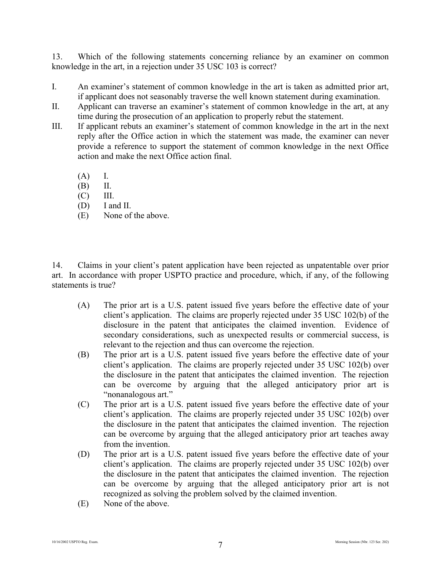13. Which of the following statements concerning reliance by an examiner on common knowledge in the art, in a rejection under 35 USC 103 is correct?

- I. An examiner's statement of common knowledge in the art is taken as admitted prior art, if applicant does not seasonably traverse the well known statement during examination.
- II. Applicant can traverse an examiner's statement of common knowledge in the art, at any time during the prosecution of an application to properly rebut the statement.
- III. If applicant rebuts an examiner's statement of common knowledge in the art in the next reply after the Office action in which the statement was made, the examiner can never provide a reference to support the statement of common knowledge in the next Office action and make the next Office action final.
	- (A) I.
	- (B) II.
	- $(C)$  III.
	- (D) I and II.
	- (E) None of the above.

14. Claims in your client's patent application have been rejected as unpatentable over prior art. In accordance with proper USPTO practice and procedure, which, if any, of the following statements is true?

- (A) The prior art is a U.S. patent issued five years before the effective date of your client's application. The claims are properly rejected under 35 USC 102(b) of the disclosure in the patent that anticipates the claimed invention. Evidence of secondary considerations, such as unexpected results or commercial success, is relevant to the rejection and thus can overcome the rejection.
- (B) The prior art is a U.S. patent issued five years before the effective date of your client's application. The claims are properly rejected under 35 USC 102(b) over the disclosure in the patent that anticipates the claimed invention. The rejection can be overcome by arguing that the alleged anticipatory prior art is "nonanalogous art."
- (C) The prior art is a U.S. patent issued five years before the effective date of your client's application. The claims are properly rejected under 35 USC 102(b) over the disclosure in the patent that anticipates the claimed invention. The rejection can be overcome by arguing that the alleged anticipatory prior art teaches away from the invention.
- (D) The prior art is a U.S. patent issued five years before the effective date of your client's application. The claims are properly rejected under 35 USC 102(b) over the disclosure in the patent that anticipates the claimed invention. The rejection can be overcome by arguing that the alleged anticipatory prior art is not recognized as solving the problem solved by the claimed invention.
- (E) None of the above.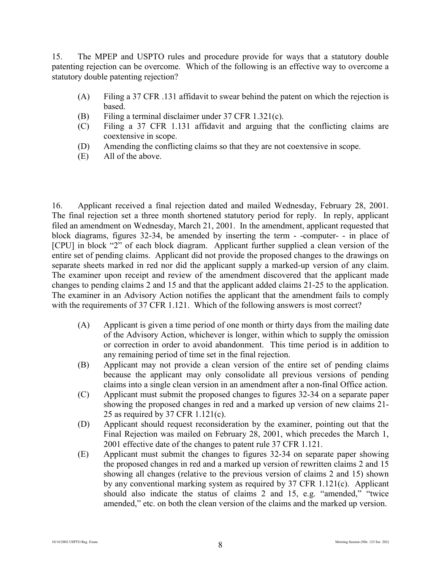15. The MPEP and USPTO rules and procedure provide for ways that a statutory double patenting rejection can be overcome. Which of the following is an effective way to overcome a statutory double patenting rejection?

- (A) Filing a 37 CFR .131 affidavit to swear behind the patent on which the rejection is based.
- (B) Filing a terminal disclaimer under 37 CFR 1.321(c).
- (C) Filing a 37 CFR 1.131 affidavit and arguing that the conflicting claims are coextensive in scope.
- (D) Amending the conflicting claims so that they are not coextensive in scope.
- (E) All of the above.

16. Applicant received a final rejection dated and mailed Wednesday, February 28, 2001. The final rejection set a three month shortened statutory period for reply. In reply, applicant filed an amendment on Wednesday, March 21, 2001. In the amendment, applicant requested that block diagrams, figures 32-34, be amended by inserting the term - -computer- - in place of [CPU] in block "2" of each block diagram. Applicant further supplied a clean version of the entire set of pending claims. Applicant did not provide the proposed changes to the drawings on separate sheets marked in red nor did the applicant supply a marked-up version of any claim. The examiner upon receipt and review of the amendment discovered that the applicant made changes to pending claims 2 and 15 and that the applicant added claims 21-25 to the application. The examiner in an Advisory Action notifies the applicant that the amendment fails to comply with the requirements of 37 CFR 1.121. Which of the following answers is most correct?

- (A) Applicant is given a time period of one month or thirty days from the mailing date of the Advisory Action, whichever is longer, within which to supply the omission or correction in order to avoid abandonment. This time period is in addition to any remaining period of time set in the final rejection.
- (B) Applicant may not provide a clean version of the entire set of pending claims because the applicant may only consolidate all previous versions of pending claims into a single clean version in an amendment after a non-final Office action.
- (C) Applicant must submit the proposed changes to figures 32-34 on a separate paper showing the proposed changes in red and a marked up version of new claims 21- 25 as required by 37 CFR 1.121(c).
- (D) Applicant should request reconsideration by the examiner, pointing out that the Final Rejection was mailed on February 28, 2001, which precedes the March 1, 2001 effective date of the changes to patent rule 37 CFR 1.121.
- (E) Applicant must submit the changes to figures 32-34 on separate paper showing the proposed changes in red and a marked up version of rewritten claims 2 and 15 showing all changes (relative to the previous version of claims 2 and 15) shown by any conventional marking system as required by 37 CFR 1.121(c). Applicant should also indicate the status of claims 2 and 15, e.g. "amended," "twice amended," etc. on both the clean version of the claims and the marked up version.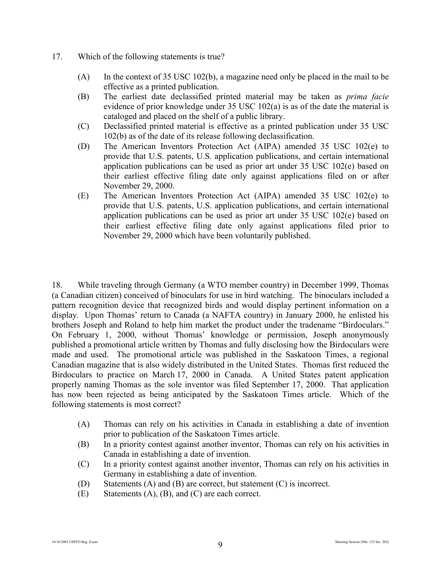- 17. Which of the following statements is true?
	- (A) In the context of 35 USC 102(b), a magazine need only be placed in the mail to be effective as a printed publication.
	- (B) The earliest date declassified printed material may be taken as *prima facie* evidence of prior knowledge under 35 USC 102(a) is as of the date the material is cataloged and placed on the shelf of a public library.
	- (C) Declassified printed material is effective as a printed publication under 35 USC 102(b) as of the date of its release following declassification.
	- (D) The American Inventors Protection Act (AIPA) amended 35 USC 102(e) to provide that U.S. patents, U.S. application publications, and certain international application publications can be used as prior art under 35 USC 102(e) based on their earliest effective filing date only against applications filed on or after November 29, 2000.
	- (E) The American Inventors Protection Act (AIPA) amended 35 USC 102(e) to provide that U.S. patents, U.S. application publications, and certain international application publications can be used as prior art under 35 USC 102(e) based on their earliest effective filing date only against applications filed prior to November 29, 2000 which have been voluntarily published.

18. While traveling through Germany (a WTO member country) in December 1999, Thomas (a Canadian citizen) conceived of binoculars for use in bird watching. The binoculars included a pattern recognition device that recognized birds and would display pertinent information on a display. Upon Thomas' return to Canada (a NAFTA country) in January 2000, he enlisted his brothers Joseph and Roland to help him market the product under the tradename "Birdoculars." On February 1, 2000, without Thomas' knowledge or permission, Joseph anonymously published a promotional article written by Thomas and fully disclosing how the Birdoculars were made and used. The promotional article was published in the Saskatoon Times, a regional Canadian magazine that is also widely distributed in the United States. Thomas first reduced the Birdoculars to practice on March 17, 2000 in Canada. A United States patent application properly naming Thomas as the sole inventor was filed September 17, 2000. That application has now been rejected as being anticipated by the Saskatoon Times article. Which of the following statements is most correct?

- (A) Thomas can rely on his activities in Canada in establishing a date of invention prior to publication of the Saskatoon Times article.
- (B) In a priority contest against another inventor, Thomas can rely on his activities in Canada in establishing a date of invention.
- (C) In a priority contest against another inventor, Thomas can rely on his activities in Germany in establishing a date of invention.
- (D) Statements (A) and (B) are correct, but statement (C) is incorrect.
- (E) Statements (A), (B), and (C) are each correct.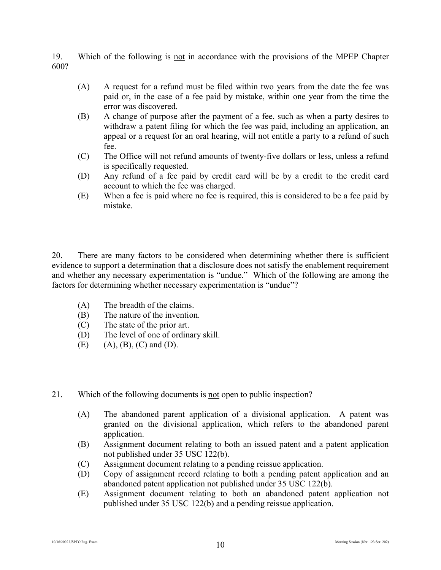19. Which of the following is not in accordance with the provisions of the MPEP Chapter 600?

- (A) A request for a refund must be filed within two years from the date the fee was paid or, in the case of a fee paid by mistake, within one year from the time the error was discovered.
- (B) A change of purpose after the payment of a fee, such as when a party desires to withdraw a patent filing for which the fee was paid, including an application, an appeal or a request for an oral hearing, will not entitle a party to a refund of such fee.
- (C) The Office will not refund amounts of twenty-five dollars or less, unless a refund is specifically requested.
- (D) Any refund of a fee paid by credit card will be by a credit to the credit card account to which the fee was charged.
- (E) When a fee is paid where no fee is required, this is considered to be a fee paid by mistake.

20. There are many factors to be considered when determining whether there is sufficient evidence to support a determination that a disclosure does not satisfy the enablement requirement and whether any necessary experimentation is "undue." Which of the following are among the factors for determining whether necessary experimentation is "undue"?

- (A) The breadth of the claims.
- (B) The nature of the invention.
- (C) The state of the prior art.
- (D) The level of one of ordinary skill.
- $(E)$  (A), (B), (C) and (D).
- 21. Which of the following documents is not open to public inspection?
	- (A) The abandoned parent application of a divisional application. A patent was granted on the divisional application, which refers to the abandoned parent application.
	- (B) Assignment document relating to both an issued patent and a patent application not published under 35 USC 122(b).
	- (C) Assignment document relating to a pending reissue application.
	- (D) Copy of assignment record relating to both a pending patent application and an abandoned patent application not published under 35 USC 122(b).
	- (E) Assignment document relating to both an abandoned patent application not published under 35 USC 122(b) and a pending reissue application.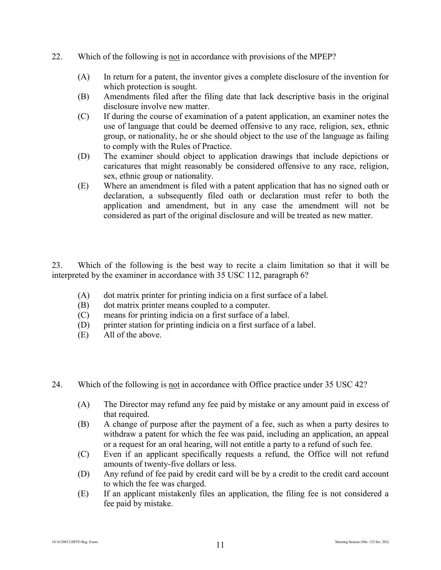- 22. Which of the following is not in accordance with provisions of the MPEP?
	- (A) In return for a patent, the inventor gives a complete disclosure of the invention for which protection is sought.
	- (B) Amendments filed after the filing date that lack descriptive basis in the original disclosure involve new matter.
	- (C) If during the course of examination of a patent application, an examiner notes the use of language that could be deemed offensive to any race, religion, sex, ethnic group, or nationality, he or she should object to the use of the language as failing to comply with the Rules of Practice.
	- (D) The examiner should object to application drawings that include depictions or caricatures that might reasonably be considered offensive to any race, religion, sex, ethnic group or nationality.
	- (E) Where an amendment is filed with a patent application that has no signed oath or declaration, a subsequently filed oath or declaration must refer to both the application and amendment, but in any case the amendment will not be considered as part of the original disclosure and will be treated as new matter.

23. Which of the following is the best way to recite a claim limitation so that it will be interpreted by the examiner in accordance with 35 USC 112, paragraph 6?

- (A) dot matrix printer for printing indicia on a first surface of a label.
- (B) dot matrix printer means coupled to a computer.
- (C) means for printing indicia on a first surface of a label.
- (D) printer station for printing indicia on a first surface of a label.
- (E) All of the above.
- 24. Which of the following is not in accordance with Office practice under 35 USC 42?
	- (A) The Director may refund any fee paid by mistake or any amount paid in excess of that required.
	- (B) A change of purpose after the payment of a fee, such as when a party desires to withdraw a patent for which the fee was paid, including an application, an appeal or a request for an oral hearing, will not entitle a party to a refund of such fee.
	- (C) Even if an applicant specifically requests a refund, the Office will not refund amounts of twenty-five dollars or less.
	- (D) Any refund of fee paid by credit card will be by a credit to the credit card account to which the fee was charged.
	- (E) If an applicant mistakenly files an application, the filing fee is not considered a fee paid by mistake.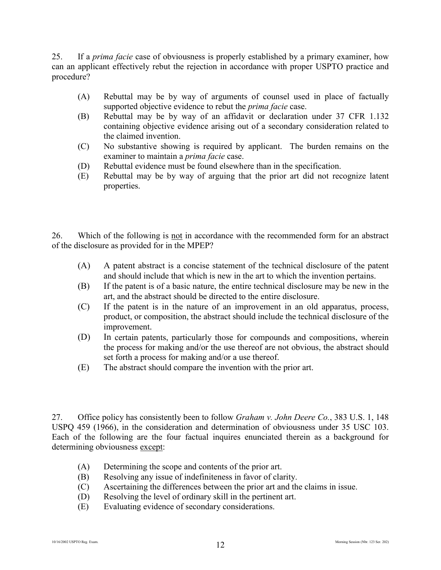25. If a *prima facie* case of obviousness is properly established by a primary examiner, how can an applicant effectively rebut the rejection in accordance with proper USPTO practice and procedure?

- (A) Rebuttal may be by way of arguments of counsel used in place of factually supported objective evidence to rebut the *prima facie* case.
- (B) Rebuttal may be by way of an affidavit or declaration under 37 CFR 1.132 containing objective evidence arising out of a secondary consideration related to the claimed invention.
- (C) No substantive showing is required by applicant. The burden remains on the examiner to maintain a *prima facie* case.
- (D) Rebuttal evidence must be found elsewhere than in the specification.
- (E) Rebuttal may be by way of arguing that the prior art did not recognize latent properties.

26. Which of the following is not in accordance with the recommended form for an abstract of the disclosure as provided for in the MPEP?

- (A) A patent abstract is a concise statement of the technical disclosure of the patent and should include that which is new in the art to which the invention pertains.
- (B) If the patent is of a basic nature, the entire technical disclosure may be new in the art, and the abstract should be directed to the entire disclosure.
- (C) If the patent is in the nature of an improvement in an old apparatus, process, product, or composition, the abstract should include the technical disclosure of the improvement.
- (D) In certain patents, particularly those for compounds and compositions, wherein the process for making and/or the use thereof are not obvious, the abstract should set forth a process for making and/or a use thereof.
- (E) The abstract should compare the invention with the prior art.

27. Office policy has consistently been to follow *Graham v. John Deere Co.*, 383 U.S. 1, 148 USPQ 459 (1966), in the consideration and determination of obviousness under 35 USC 103. Each of the following are the four factual inquires enunciated therein as a background for determining obviousness except:

- (A) Determining the scope and contents of the prior art.
- (B) Resolving any issue of indefiniteness in favor of clarity.
- (C) Ascertaining the differences between the prior art and the claims in issue.
- (D) Resolving the level of ordinary skill in the pertinent art.
- (E) Evaluating evidence of secondary considerations.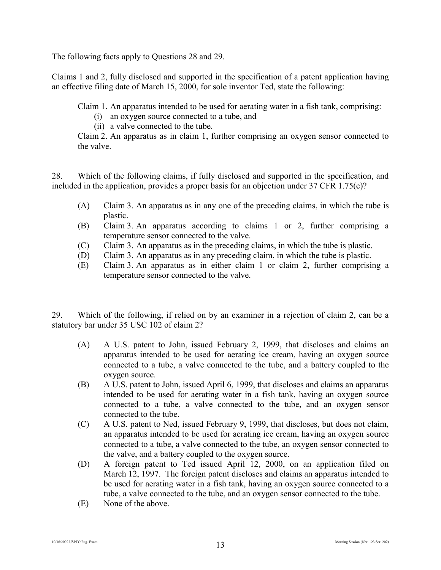The following facts apply to Questions 28 and 29.

Claims 1 and 2, fully disclosed and supported in the specification of a patent application having an effective filing date of March 15, 2000, for sole inventor Ted, state the following:

Claim 1. An apparatus intended to be used for aerating water in a fish tank, comprising:

- (i) an oxygen source connected to a tube, and
- (ii) a valve connected to the tube.

Claim 2. An apparatus as in claim 1, further comprising an oxygen sensor connected to the valve.

28. Which of the following claims, if fully disclosed and supported in the specification, and included in the application, provides a proper basis for an objection under 37 CFR 1.75(c)?

- (A) Claim 3. An apparatus as in any one of the preceding claims, in which the tube is plastic.
- (B) Claim 3. An apparatus according to claims 1 or 2, further comprising a temperature sensor connected to the valve.
- (C) Claim 3. An apparatus as in the preceding claims, in which the tube is plastic.
- (D) Claim 3. An apparatus as in any preceding claim, in which the tube is plastic.
- (E) Claim 3. An apparatus as in either claim 1 or claim 2, further comprising a temperature sensor connected to the valve.

29. Which of the following, if relied on by an examiner in a rejection of claim 2, can be a statutory bar under 35 USC 102 of claim 2?

- (A) A U.S. patent to John, issued February 2, 1999, that discloses and claims an apparatus intended to be used for aerating ice cream, having an oxygen source connected to a tube, a valve connected to the tube, and a battery coupled to the oxygen source.
- (B) A U.S. patent to John, issued April 6, 1999, that discloses and claims an apparatus intended to be used for aerating water in a fish tank, having an oxygen source connected to a tube, a valve connected to the tube, and an oxygen sensor connected to the tube.
- (C) A U.S. patent to Ned, issued February 9, 1999, that discloses, but does not claim, an apparatus intended to be used for aerating ice cream, having an oxygen source connected to a tube, a valve connected to the tube, an oxygen sensor connected to the valve, and a battery coupled to the oxygen source.
- (D) A foreign patent to Ted issued April 12, 2000, on an application filed on March 12, 1997. The foreign patent discloses and claims an apparatus intended to be used for aerating water in a fish tank, having an oxygen source connected to a tube, a valve connected to the tube, and an oxygen sensor connected to the tube.
- (E) None of the above.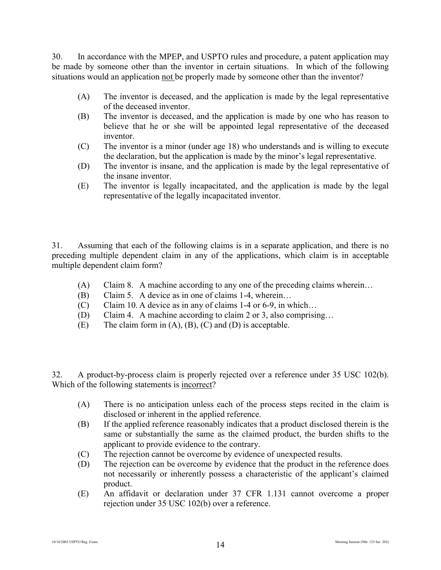30. In accordance with the MPEP, and USPTO rules and procedure, a patent application may be made by someone other than the inventor in certain situations. In which of the following situations would an application not be properly made by someone other than the inventor?

- (A) The inventor is deceased, and the application is made by the legal representative of the deceased inventor.
- (B) The inventor is deceased, and the application is made by one who has reason to believe that he or she will be appointed legal representative of the deceased inventor.
- (C) The inventor is a minor (under age 18) who understands and is willing to execute the declaration, but the application is made by the minor's legal representative.
- (D) The inventor is insane, and the application is made by the legal representative of the insane inventor.
- (E) The inventor is legally incapacitated, and the application is made by the legal representative of the legally incapacitated inventor.

31. Assuming that each of the following claims is in a separate application, and there is no preceding multiple dependent claim in any of the applications, which claim is in acceptable multiple dependent claim form?

- (A) Claim 8. A machine according to any one of the preceding claims wherein…
- (B) Claim 5. A device as in one of claims 1-4, wherein…
- (C) Claim 10. A device as in any of claims 1-4 or 6-9, in which…
- (D) Claim 4. A machine according to claim 2 or 3, also comprising…
- (E) The claim form in  $(A)$ ,  $(B)$ ,  $(C)$  and  $(D)$  is acceptable.

32. A product-by-process claim is properly rejected over a reference under 35 USC 102(b). Which of the following statements is incorrect?

- (A) There is no anticipation unless each of the process steps recited in the claim is disclosed or inherent in the applied reference.
- (B) If the applied reference reasonably indicates that a product disclosed therein is the same or substantially the same as the claimed product, the burden shifts to the applicant to provide evidence to the contrary.
- (C) The rejection cannot be overcome by evidence of unexpected results.
- (D) The rejection can be overcome by evidence that the product in the reference does not necessarily or inherently possess a characteristic of the applicant's claimed product.
- (E) An affidavit or declaration under 37 CFR 1.131 cannot overcome a proper rejection under 35 USC 102(b) over a reference.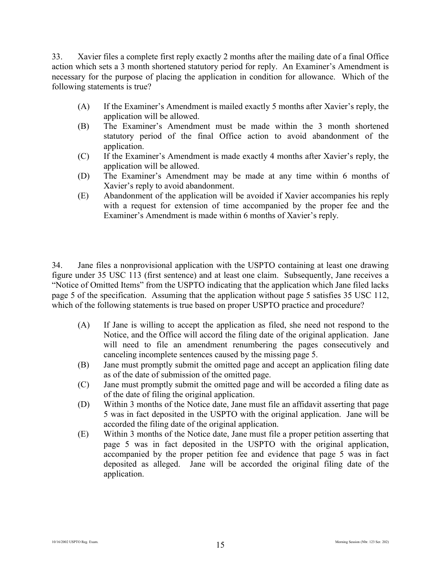33. Xavier files a complete first reply exactly 2 months after the mailing date of a final Office action which sets a 3 month shortened statutory period for reply. An Examiner's Amendment is necessary for the purpose of placing the application in condition for allowance. Which of the following statements is true?

- (A) If the Examiner's Amendment is mailed exactly 5 months after Xavier's reply, the application will be allowed.
- (B) The Examiner's Amendment must be made within the 3 month shortened statutory period of the final Office action to avoid abandonment of the application.
- (C) If the Examiner's Amendment is made exactly 4 months after Xavier's reply, the application will be allowed.
- (D) The Examiner's Amendment may be made at any time within 6 months of Xavier's reply to avoid abandonment.
- (E) Abandonment of the application will be avoided if Xavier accompanies his reply with a request for extension of time accompanied by the proper fee and the Examiner's Amendment is made within 6 months of Xavier's reply.

34. Jane files a nonprovisional application with the USPTO containing at least one drawing figure under 35 USC 113 (first sentence) and at least one claim. Subsequently, Jane receives a "Notice of Omitted Items" from the USPTO indicating that the application which Jane filed lacks page 5 of the specification. Assuming that the application without page 5 satisfies 35 USC 112, which of the following statements is true based on proper USPTO practice and procedure?

- (A) If Jane is willing to accept the application as filed, she need not respond to the Notice, and the Office will accord the filing date of the original application. Jane will need to file an amendment renumbering the pages consecutively and canceling incomplete sentences caused by the missing page 5.
- (B) Jane must promptly submit the omitted page and accept an application filing date as of the date of submission of the omitted page.
- (C) Jane must promptly submit the omitted page and will be accorded a filing date as of the date of filing the original application.
- (D) Within 3 months of the Notice date, Jane must file an affidavit asserting that page 5 was in fact deposited in the USPTO with the original application. Jane will be accorded the filing date of the original application.
- (E) Within 3 months of the Notice date, Jane must file a proper petition asserting that page 5 was in fact deposited in the USPTO with the original application, accompanied by the proper petition fee and evidence that page 5 was in fact deposited as alleged. Jane will be accorded the original filing date of the application.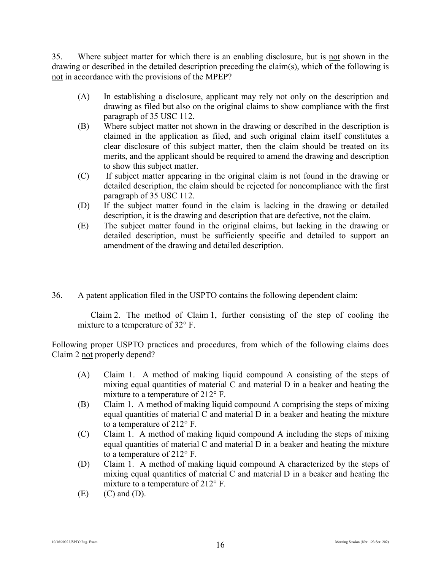35. Where subject matter for which there is an enabling disclosure, but is not shown in the drawing or described in the detailed description preceding the claim(s), which of the following is not in accordance with the provisions of the MPEP?

- (A) In establishing a disclosure, applicant may rely not only on the description and drawing as filed but also on the original claims to show compliance with the first paragraph of 35 USC 112.
- (B) Where subject matter not shown in the drawing or described in the description is claimed in the application as filed, and such original claim itself constitutes a clear disclosure of this subject matter, then the claim should be treated on its merits, and the applicant should be required to amend the drawing and description to show this subject matter.
- (C) If subject matter appearing in the original claim is not found in the drawing or detailed description, the claim should be rejected for noncompliance with the first paragraph of 35 USC 112.
- (D) If the subject matter found in the claim is lacking in the drawing or detailed description, it is the drawing and description that are defective, not the claim.
- (E) The subject matter found in the original claims, but lacking in the drawing or detailed description, must be sufficiently specific and detailed to support an amendment of the drawing and detailed description.
- 36. A patent application filed in the USPTO contains the following dependent claim:

Claim 2. The method of Claim 1, further consisting of the step of cooling the mixture to a temperature of 32° F.

Following proper USPTO practices and procedures, from which of the following claims does Claim 2 not properly depend?

- (A) Claim 1. A method of making liquid compound A consisting of the steps of mixing equal quantities of material C and material D in a beaker and heating the mixture to a temperature of 212° F.
- (B) Claim 1. A method of making liquid compound A comprising the steps of mixing equal quantities of material C and material D in a beaker and heating the mixture to a temperature of 212° F.
- (C) Claim 1. A method of making liquid compound A including the steps of mixing equal quantities of material C and material D in a beaker and heating the mixture to a temperature of 212° F.
- (D) Claim 1. A method of making liquid compound A characterized by the steps of mixing equal quantities of material C and material D in a beaker and heating the mixture to a temperature of 212° F.
- $(E)$   $(C)$  and  $(D)$ .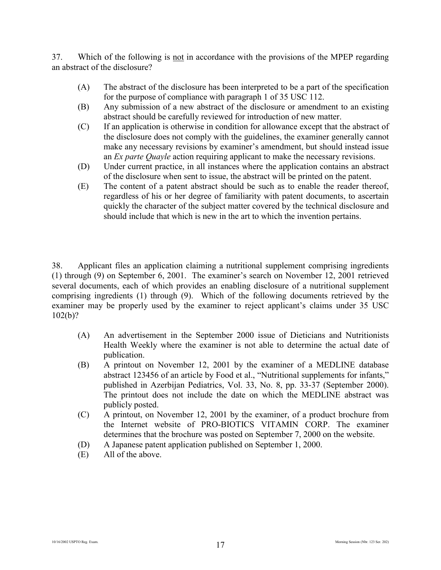37. Which of the following is not in accordance with the provisions of the MPEP regarding an abstract of the disclosure?

- (A) The abstract of the disclosure has been interpreted to be a part of the specification for the purpose of compliance with paragraph 1 of 35 USC 112.
- (B) Any submission of a new abstract of the disclosure or amendment to an existing abstract should be carefully reviewed for introduction of new matter.
- (C) If an application is otherwise in condition for allowance except that the abstract of the disclosure does not comply with the guidelines, the examiner generally cannot make any necessary revisions by examiner's amendment, but should instead issue an *Ex parte Quayle* action requiring applicant to make the necessary revisions.
- (D) Under current practice, in all instances where the application contains an abstract of the disclosure when sent to issue, the abstract will be printed on the patent.
- (E) The content of a patent abstract should be such as to enable the reader thereof, regardless of his or her degree of familiarity with patent documents, to ascertain quickly the character of the subject matter covered by the technical disclosure and should include that which is new in the art to which the invention pertains.

38. Applicant files an application claiming a nutritional supplement comprising ingredients (1) through (9) on September 6, 2001. The examiner's search on November 12, 2001 retrieved several documents, each of which provides an enabling disclosure of a nutritional supplement comprising ingredients (1) through (9). Which of the following documents retrieved by the examiner may be properly used by the examiner to reject applicant's claims under 35 USC 102(b)?

- (A) An advertisement in the September 2000 issue of Dieticians and Nutritionists Health Weekly where the examiner is not able to determine the actual date of publication.
- (B) A printout on November 12, 2001 by the examiner of a MEDLINE database abstract 123456 of an article by Food et al., "Nutritional supplements for infants," published in Azerbijan Pediatrics, Vol. 33, No. 8, pp. 33-37 (September 2000). The printout does not include the date on which the MEDLINE abstract was publicly posted.
- (C) A printout, on November 12, 2001 by the examiner, of a product brochure from the Internet website of PRO-BIOTICS VITAMIN CORP. The examiner determines that the brochure was posted on September 7, 2000 on the website.
- (D) A Japanese patent application published on September 1, 2000.
- (E) All of the above.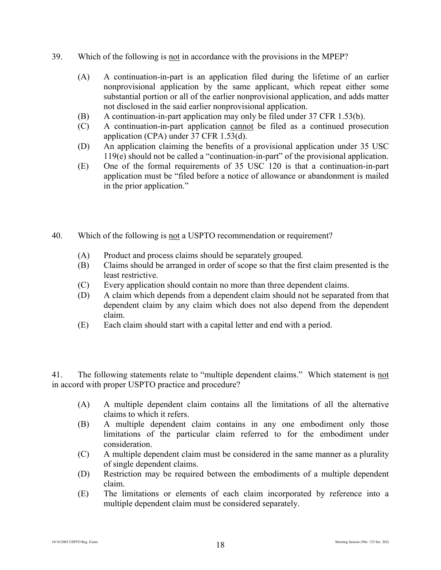- 39. Which of the following is not in accordance with the provisions in the MPEP?
	- (A) A continuation-in-part is an application filed during the lifetime of an earlier nonprovisional application by the same applicant, which repeat either some substantial portion or all of the earlier nonprovisional application, and adds matter not disclosed in the said earlier nonprovisional application.
	- (B) A continuation-in-part application may only be filed under 37 CFR 1.53(b).
	- (C) A continuation-in-part application cannot be filed as a continued prosecution application (CPA) under 37 CFR 1.53(d).
	- (D) An application claiming the benefits of a provisional application under 35 USC 119(e) should not be called a "continuation-in-part" of the provisional application.
	- (E) One of the formal requirements of 35 USC 120 is that a continuation-in-part application must be "filed before a notice of allowance or abandonment is mailed in the prior application."
- 40. Which of the following is not a USPTO recommendation or requirement?
	- (A) Product and process claims should be separately grouped.
	- (B) Claims should be arranged in order of scope so that the first claim presented is the least restrictive.
	- (C) Every application should contain no more than three dependent claims.
	- (D) A claim which depends from a dependent claim should not be separated from that dependent claim by any claim which does not also depend from the dependent claim.
	- (E) Each claim should start with a capital letter and end with a period.

41. The following statements relate to "multiple dependent claims." Which statement is not in accord with proper USPTO practice and procedure?

- (A) A multiple dependent claim contains all the limitations of all the alternative claims to which it refers.
- (B) A multiple dependent claim contains in any one embodiment only those limitations of the particular claim referred to for the embodiment under consideration.
- (C) A multiple dependent claim must be considered in the same manner as a plurality of single dependent claims.
- (D) Restriction may be required between the embodiments of a multiple dependent claim.
- (E) The limitations or elements of each claim incorporated by reference into a multiple dependent claim must be considered separately.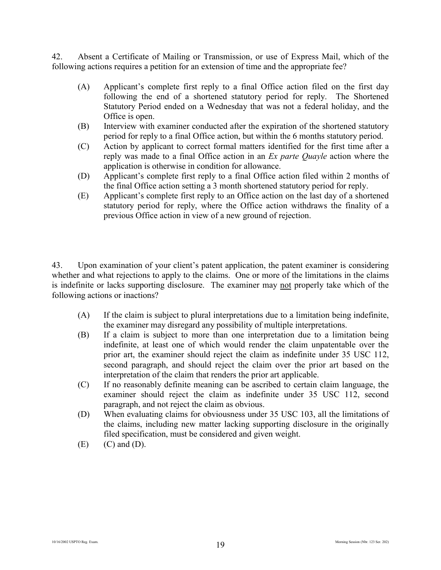42. Absent a Certificate of Mailing or Transmission, or use of Express Mail, which of the following actions requires a petition for an extension of time and the appropriate fee?

- (A) Applicant's complete first reply to a final Office action filed on the first day following the end of a shortened statutory period for reply. The Shortened Statutory Period ended on a Wednesday that was not a federal holiday, and the Office is open.
- (B) Interview with examiner conducted after the expiration of the shortened statutory period for reply to a final Office action, but within the 6 months statutory period.
- (C) Action by applicant to correct formal matters identified for the first time after a reply was made to a final Office action in an *Ex parte Quayle* action where the application is otherwise in condition for allowance.
- (D) Applicant's complete first reply to a final Office action filed within 2 months of the final Office action setting a 3 month shortened statutory period for reply.
- (E) Applicant's complete first reply to an Office action on the last day of a shortened statutory period for reply, where the Office action withdraws the finality of a previous Office action in view of a new ground of rejection.

43. Upon examination of your client's patent application, the patent examiner is considering whether and what rejections to apply to the claims. One or more of the limitations in the claims is indefinite or lacks supporting disclosure. The examiner may not properly take which of the following actions or inactions?

- (A) If the claim is subject to plural interpretations due to a limitation being indefinite, the examiner may disregard any possibility of multiple interpretations.
- (B) If a claim is subject to more than one interpretation due to a limitation being indefinite, at least one of which would render the claim unpatentable over the prior art, the examiner should reject the claim as indefinite under 35 USC 112, second paragraph, and should reject the claim over the prior art based on the interpretation of the claim that renders the prior art applicable.
- (C) If no reasonably definite meaning can be ascribed to certain claim language, the examiner should reject the claim as indefinite under 35 USC 112, second paragraph, and not reject the claim as obvious.
- (D) When evaluating claims for obviousness under 35 USC 103, all the limitations of the claims, including new matter lacking supporting disclosure in the originally filed specification, must be considered and given weight.
- $(E)$   $(C)$  and  $(D)$ .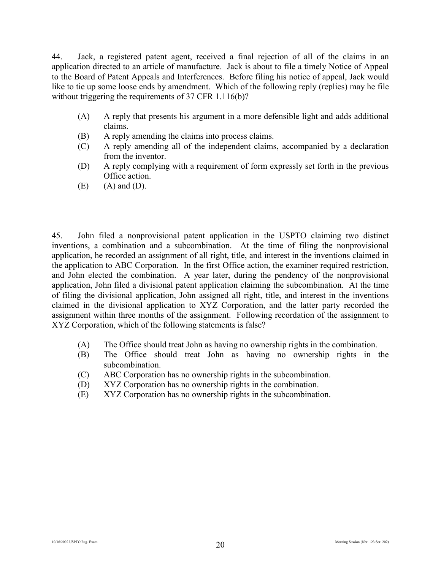44. Jack, a registered patent agent, received a final rejection of all of the claims in an application directed to an article of manufacture. Jack is about to file a timely Notice of Appeal to the Board of Patent Appeals and Interferences. Before filing his notice of appeal, Jack would like to tie up some loose ends by amendment. Which of the following reply (replies) may he file without triggering the requirements of 37 CFR 1.116(b)?

- (A) A reply that presents his argument in a more defensible light and adds additional claims.
- (B) A reply amending the claims into process claims.
- (C) A reply amending all of the independent claims, accompanied by a declaration from the inventor.
- (D) A reply complying with a requirement of form expressly set forth in the previous Office action.
- $(E)$   $(A)$  and  $(D)$ .

45. John filed a nonprovisional patent application in the USPTO claiming two distinct inventions, a combination and a subcombination. At the time of filing the nonprovisional application, he recorded an assignment of all right, title, and interest in the inventions claimed in the application to ABC Corporation. In the first Office action, the examiner required restriction, and John elected the combination. A year later, during the pendency of the nonprovisional application, John filed a divisional patent application claiming the subcombination. At the time of filing the divisional application, John assigned all right, title, and interest in the inventions claimed in the divisional application to XYZ Corporation, and the latter party recorded the assignment within three months of the assignment. Following recordation of the assignment to XYZ Corporation, which of the following statements is false?

- (A) The Office should treat John as having no ownership rights in the combination.
- (B) The Office should treat John as having no ownership rights in the subcombination.
- (C) ABC Corporation has no ownership rights in the subcombination.
- (D) XYZ Corporation has no ownership rights in the combination.
- (E) XYZ Corporation has no ownership rights in the subcombination.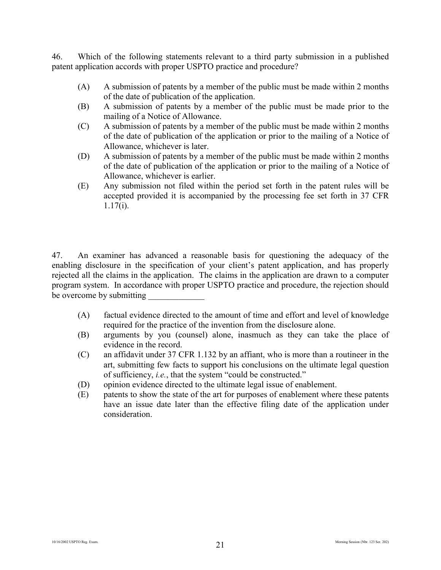46. Which of the following statements relevant to a third party submission in a published patent application accords with proper USPTO practice and procedure?

- (A) A submission of patents by a member of the public must be made within 2 months of the date of publication of the application.
- (B) A submission of patents by a member of the public must be made prior to the mailing of a Notice of Allowance.
- (C) A submission of patents by a member of the public must be made within 2 months of the date of publication of the application or prior to the mailing of a Notice of Allowance, whichever is later.
- (D) A submission of patents by a member of the public must be made within 2 months of the date of publication of the application or prior to the mailing of a Notice of Allowance, whichever is earlier.
- (E) Any submission not filed within the period set forth in the patent rules will be accepted provided it is accompanied by the processing fee set forth in 37 CFR  $1.17(i)$ .

47. An examiner has advanced a reasonable basis for questioning the adequacy of the enabling disclosure in the specification of your client's patent application, and has properly rejected all the claims in the application. The claims in the application are drawn to a computer program system. In accordance with proper USPTO practice and procedure, the rejection should be overcome by submitting

- (A) factual evidence directed to the amount of time and effort and level of knowledge required for the practice of the invention from the disclosure alone.
- (B) arguments by you (counsel) alone, inasmuch as they can take the place of evidence in the record.
- (C) an affidavit under 37 CFR 1.132 by an affiant, who is more than a routineer in the art, submitting few facts to support his conclusions on the ultimate legal question of sufficiency, *i.e.*, that the system "could be constructed."
- (D) opinion evidence directed to the ultimate legal issue of enablement.
- (E) patents to show the state of the art for purposes of enablement where these patents have an issue date later than the effective filing date of the application under consideration.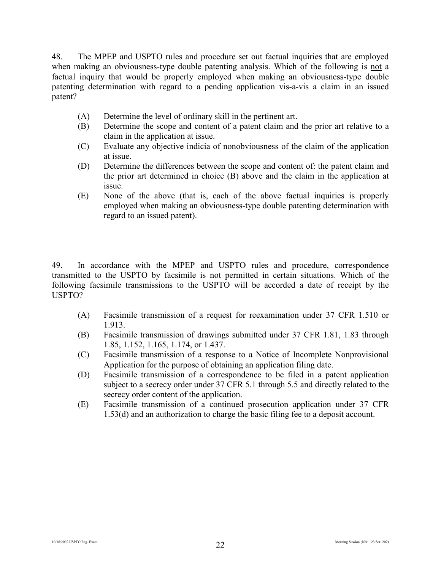48. The MPEP and USPTO rules and procedure set out factual inquiries that are employed when making an obviousness-type double patenting analysis. Which of the following is not a factual inquiry that would be properly employed when making an obviousness-type double patenting determination with regard to a pending application vis-a-vis a claim in an issued patent?

- (A) Determine the level of ordinary skill in the pertinent art.
- (B) Determine the scope and content of a patent claim and the prior art relative to a claim in the application at issue.
- (C) Evaluate any objective indicia of nonobviousness of the claim of the application at issue.
- (D) Determine the differences between the scope and content of: the patent claim and the prior art determined in choice (B) above and the claim in the application at issue.
- (E) None of the above (that is, each of the above factual inquiries is properly employed when making an obviousness-type double patenting determination with regard to an issued patent).

49. In accordance with the MPEP and USPTO rules and procedure, correspondence transmitted to the USPTO by facsimile is not permitted in certain situations. Which of the following facsimile transmissions to the USPTO will be accorded a date of receipt by the USPTO?

- (A) Facsimile transmission of a request for reexamination under 37 CFR 1.510 or 1.913.
- (B) Facsimile transmission of drawings submitted under 37 CFR 1.81, 1.83 through 1.85, 1.152, 1.165, 1.174, or 1.437.
- (C) Facsimile transmission of a response to a Notice of Incomplete Nonprovisional Application for the purpose of obtaining an application filing date.
- (D) Facsimile transmission of a correspondence to be filed in a patent application subject to a secrecy order under 37 CFR 5.1 through 5.5 and directly related to the secrecy order content of the application.
- (E) Facsimile transmission of a continued prosecution application under 37 CFR 1.53(d) and an authorization to charge the basic filing fee to a deposit account.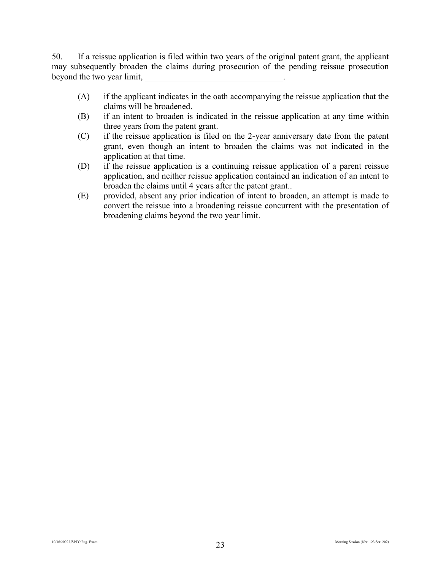50. If a reissue application is filed within two years of the original patent grant, the applicant may subsequently broaden the claims during prosecution of the pending reissue prosecution beyond the two year limit,

- (A) if the applicant indicates in the oath accompanying the reissue application that the claims will be broadened.
- (B) if an intent to broaden is indicated in the reissue application at any time within three years from the patent grant.
- (C) if the reissue application is filed on the 2-year anniversary date from the patent grant, even though an intent to broaden the claims was not indicated in the application at that time.
- (D) if the reissue application is a continuing reissue application of a parent reissue application, and neither reissue application contained an indication of an intent to broaden the claims until 4 years after the patent grant..
- (E) provided, absent any prior indication of intent to broaden, an attempt is made to convert the reissue into a broadening reissue concurrent with the presentation of broadening claims beyond the two year limit.